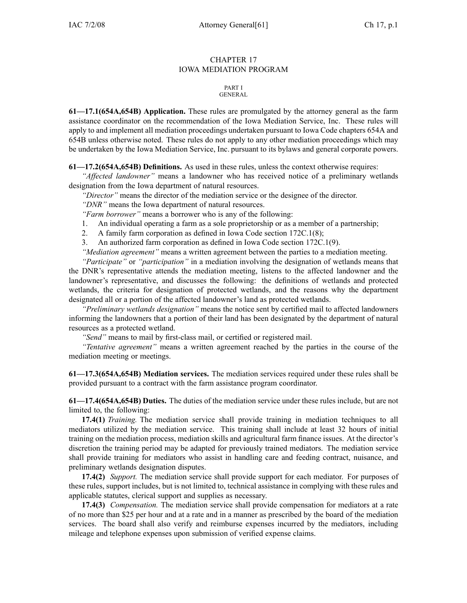## CHAPTER 17 IOWA MEDIATION PROGRAM

#### PART I **GENERAL**

**61—17.1(654A,654B) Application.** These rules are promulgated by the attorney general as the farm assistance coordinator on the recommendation of the Iowa Mediation Service, Inc. These rules will apply to and implement all mediation proceedings undertaken pursuan<sup>t</sup> to Iowa Code chapters 654A and 654B unless otherwise noted. These rules do not apply to any other mediation proceedings which may be undertaken by the Iowa Mediation Service, Inc. pursuan<sup>t</sup> to its bylaws and general corporate powers.

**61—17.2(654A,654B) Definitions.** As used in these rules, unless the context otherwise requires:

*"Affected landowner"* means <sup>a</sup> landowner who has received notice of <sup>a</sup> preliminary wetlands designation from the Iowa department of natural resources.

*"Director"* means the director of the mediation service or the designee of the director.

*"DNR"* means the Iowa department of natural resources.

*"Farm borrower"* means <sup>a</sup> borrower who is any of the following:

- 1. An individual operating <sup>a</sup> farm as <sup>a</sup> sole proprietorship or as <sup>a</sup> member of <sup>a</sup> partnership;
- 2. A family farm corporation as defined in Iowa Code section 172C.1(8);
- 3. An authorized farm corporation as defined in Iowa Code section 172C.1(9).

*"Mediation agreement"* means <sup>a</sup> written agreemen<sup>t</sup> between the parties to <sup>a</sup> mediation meeting.

*"Participate"* or *"participation"* in <sup>a</sup> mediation involving the designation of wetlands means that the DNR's representative attends the mediation meeting, listens to the affected landowner and the landowner's representative, and discusses the following: the definitions of wetlands and protected wetlands, the criteria for designation of protected wetlands, and the reasons why the department designated all or <sup>a</sup> portion of the affected landowner's land as protected wetlands.

*"Preliminary wetlands designation"* means the notice sent by certified mail to affected landowners informing the landowners that <sup>a</sup> portion of their land has been designated by the department of natural resources as <sup>a</sup> protected wetland.

*"Send"* means to mail by first-class mail, or certified or registered mail.

*"Tentative agreement"* means <sup>a</sup> written agreemen<sup>t</sup> reached by the parties in the course of the mediation meeting or meetings.

**61—17.3(654A,654B) Mediation services.** The mediation services required under these rules shall be provided pursuan<sup>t</sup> to <sup>a</sup> contract with the farm assistance program coordinator.

**61—17.4(654A,654B) Duties.** The duties of the mediation service under these rules include, but are not limited to, the following:

**17.4(1)** *Training.* The mediation service shall provide training in mediation techniques to all mediators utilized by the mediation service. This training shall include at least 32 hours of initial training on the mediation process, mediation skills and agricultural farm finance issues. At the director's discretion the training period may be adapted for previously trained mediators. The mediation service shall provide training for mediators who assist in handling care and feeding contract, nuisance, and preliminary wetlands designation disputes.

**17.4(2)** *Support.* The mediation service shall provide suppor<sup>t</sup> for each mediator. For purposes of these rules, suppor<sup>t</sup> includes, but is not limited to, technical assistance in complying with these rules and applicable statutes, clerical suppor<sup>t</sup> and supplies as necessary.

**17.4(3)** *Compensation.* The mediation service shall provide compensation for mediators at <sup>a</sup> rate of no more than \$25 per hour and at <sup>a</sup> rate and in <sup>a</sup> manner as prescribed by the board of the mediation services. The board shall also verify and reimburse expenses incurred by the mediators, including mileage and telephone expenses upon submission of verified expense claims.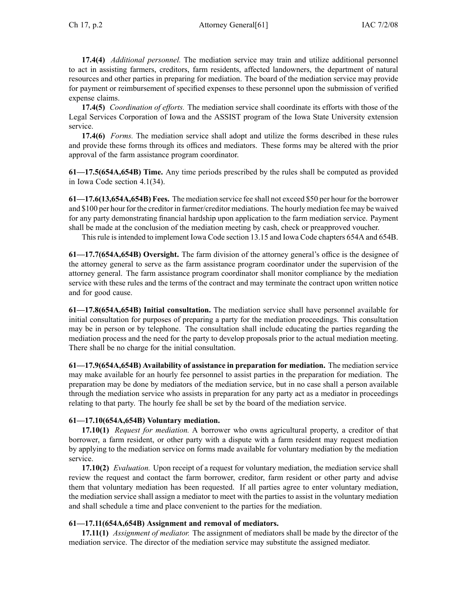**17.4(4)** *Additional personnel.* The mediation service may train and utilize additional personnel to act in assisting farmers, creditors, farm residents, affected landowners, the department of natural resources and other parties in preparing for mediation. The board of the mediation service may provide for paymen<sup>t</sup> or reimbursement of specified expenses to these personnel upon the submission of verified expense claims.

**17.4(5)** *Coordination of efforts.* The mediation service shall coordinate its efforts with those of the Legal Services Corporation of Iowa and the ASSIST program of the Iowa State University extension service.

**17.4(6)** *Forms.* The mediation service shall adopt and utilize the forms described in these rules and provide these forms through its offices and mediators. These forms may be altered with the prior approval of the farm assistance program coordinator.

**61—17.5(654A,654B) Time.** Any time periods prescribed by the rules shall be computed as provided in Iowa Code section 4.1(34).

**61—17.6(13,654A,654B) Fees.** The mediation service fee shall not exceed \$50 per hour for the borrower and \$100 per hour for the creditor in farmer/creditor mediations. The hourly mediation fee may be waived for any party demonstrating financial hardship upon application to the farm mediation service. Payment shall be made at the conclusion of the mediation meeting by cash, check or preapproved voucher.

Thisrule isintended to implement Iowa Code section 13.15 and Iowa Code chapters 654A and 654B.

**61—17.7(654A,654B) Oversight.** The farm division of the attorney general's office is the designee of the attorney general to serve as the farm assistance program coordinator under the supervision of the attorney general. The farm assistance program coordinator shall monitor compliance by the mediation service with these rules and the terms of the contract and may terminate the contract upon written notice and for good cause.

**61—17.8(654A,654B) Initial consultation.** The mediation service shall have personnel available for initial consultation for purposes of preparing <sup>a</sup> party for the mediation proceedings. This consultation may be in person or by telephone. The consultation shall include educating the parties regarding the mediation process and the need for the party to develop proposals prior to the actual mediation meeting. There shall be no charge for the initial consultation.

**61—17.9(654A,654B) Availability of assistance in preparation for mediation.** The mediation service may make available for an hourly fee personnel to assist parties in the preparation for mediation. The preparation may be done by mediators of the mediation service, but in no case shall <sup>a</sup> person available through the mediation service who assists in preparation for any party act as <sup>a</sup> mediator in proceedings relating to that party. The hourly fee shall be set by the board of the mediation service.

## **61—17.10(654A,654B) Voluntary mediation.**

**17.10(1)** *Request for mediation.* A borrower who owns agricultural property, <sup>a</sup> creditor of that borrower, <sup>a</sup> farm resident, or other party with <sup>a</sup> dispute with <sup>a</sup> farm resident may reques<sup>t</sup> mediation by applying to the mediation service on forms made available for voluntary mediation by the mediation service.

**17.10(2)** *Evaluation.* Upon receipt of <sup>a</sup> reques<sup>t</sup> for voluntary mediation, the mediation service shall review the reques<sup>t</sup> and contact the farm borrower, creditor, farm resident or other party and advise them that voluntary mediation has been requested. If all parties agree to enter voluntary mediation, the mediation service shall assign <sup>a</sup> mediator to meet with the parties to assist in the voluntary mediation and shall schedule <sup>a</sup> time and place convenient to the parties for the mediation.

## **61—17.11(654A,654B) Assignment and removal of mediators.**

**17.11(1)** *Assignment of mediator.* The assignment of mediators shall be made by the director of the mediation service. The director of the mediation service may substitute the assigned mediator.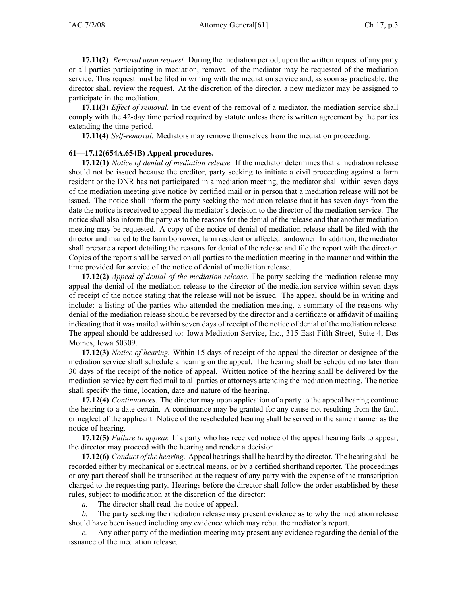**17.11(2)** *Removal upon request.* During the mediation period, upon the written reques<sup>t</sup> of any party or all parties participating in mediation, removal of the mediator may be requested of the mediation service. This reques<sup>t</sup> must be filed in writing with the mediation service and, as soon as practicable, the director shall review the request. At the discretion of the director, <sup>a</sup> new mediator may be assigned to participate in the mediation.

**17.11(3)** *Effect of removal.* In the event of the removal of <sup>a</sup> mediator, the mediation service shall comply with the 42-day time period required by statute unless there is written agreemen<sup>t</sup> by the parties extending the time period.

**17.11(4)** *Self-removal.* Mediators may remove themselves from the mediation proceeding.

### **61—17.12(654A,654B) Appeal procedures.**

**17.12(1)** *Notice of denial of mediation release.* If the mediator determines that <sup>a</sup> mediation release should not be issued because the creditor, party seeking to initiate <sup>a</sup> civil proceeding against <sup>a</sup> farm resident or the DNR has not participated in <sup>a</sup> mediation meeting, the mediator shall within seven days of the mediation meeting give notice by certified mail or in person that <sup>a</sup> mediation release will not be issued. The notice shall inform the party seeking the mediation release that it has seven days from the date the notice is received to appeal the mediator's decision to the director of the mediation service. The notice shall also inform the party as to the reasons for the denial of the release and that another mediation meeting may be requested. A copy of the notice of denial of mediation release shall be filed with the director and mailed to the farm borrower, farm resident or affected landowner. In addition, the mediator shall prepare <sup>a</sup> repor<sup>t</sup> detailing the reasons for denial of the release and file the repor<sup>t</sup> with the director. Copies of the repor<sup>t</sup> shall be served on all parties to the mediation meeting in the manner and within the time provided for service of the notice of denial of mediation release.

**17.12(2)** *Appeal of denial of the mediation release.* The party seeking the mediation release may appeal the denial of the mediation release to the director of the mediation service within seven days of receipt of the notice stating that the release will not be issued. The appeal should be in writing and include: <sup>a</sup> listing of the parties who attended the mediation meeting, <sup>a</sup> summary of the reasons why denial of the mediation release should be reversed by the director and <sup>a</sup> certificate or affidavit of mailing indicating that it was mailed within seven days of receipt of the notice of denial of the mediation release. The appeal should be addressed to: Iowa Mediation Service, Inc., 315 East Fifth Street, Suite 4, Des Moines, Iowa 50309.

**17.12(3)** *Notice of hearing.* Within 15 days of receipt of the appeal the director or designee of the mediation service shall schedule <sup>a</sup> hearing on the appeal. The hearing shall be scheduled no later than 30 days of the receipt of the notice of appeal. Written notice of the hearing shall be delivered by the mediation service by certified mail to all parties or attorneys attending the mediation meeting. The notice shall specify the time, location, date and nature of the hearing.

**17.12(4)** *Continuances.* The director may upon application of <sup>a</sup> party to the appeal hearing continue the hearing to <sup>a</sup> date certain. A continuance may be granted for any cause not resulting from the fault or neglect of the applicant. Notice of the rescheduled hearing shall be served in the same manner as the notice of hearing.

**17.12(5)** *Failure to appear.* If <sup>a</sup> party who has received notice of the appeal hearing fails to appear, the director may proceed with the hearing and render <sup>a</sup> decision.

**17.12(6)** *Conduct of the hearing.* Appeal hearingsshall be heard by the director. The hearing shall be recorded either by mechanical or electrical means, or by <sup>a</sup> certified shorthand reporter. The proceedings or any par<sup>t</sup> thereof shall be transcribed at the reques<sup>t</sup> of any party with the expense of the transcription charged to the requesting party. Hearings before the director shall follow the order established by these rules, subject to modification at the discretion of the director:

*a.* The director shall read the notice of appeal.

*b.* The party seeking the mediation release may presen<sup>t</sup> evidence as to why the mediation release should have been issued including any evidence which may rebut the mediator's report.

*c.* Any other party of the mediation meeting may presen<sup>t</sup> any evidence regarding the denial of the issuance of the mediation release.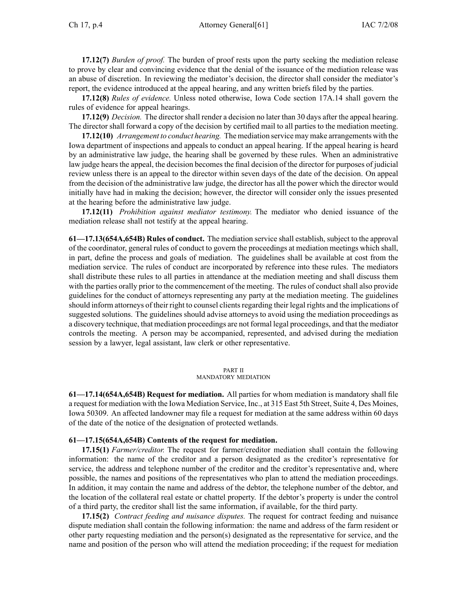**17.12(7)** *Burden of proof.* The burden of proof rests upon the party seeking the mediation release to prove by clear and convincing evidence that the denial of the issuance of the mediation release was an abuse of discretion. In reviewing the mediator's decision, the director shall consider the mediator's report, the evidence introduced at the appeal hearing, and any written briefs filed by the parties.

**17.12(8)** *Rules of evidence.* Unless noted otherwise, Iowa Code section 17A.14 shall govern the rules of evidence for appeal hearings.

**17.12(9)** *Decision.* The directorshall render <sup>a</sup> decision no later than 30 days after the appeal hearing. The director shall forward <sup>a</sup> copy of the decision by certified mail to all parties to the mediation meeting.

**17.12(10)** *Arrangement to conduct hearing.* The mediation service may make arrangements with the Iowa department of inspections and appeals to conduct an appeal hearing. If the appeal hearing is heard by an administrative law judge, the hearing shall be governed by these rules. When an administrative law judge hears the appeal, the decision becomes the final decision of the director for purposes of judicial review unless there is an appeal to the director within seven days of the date of the decision. On appeal from the decision of the administrative law judge, the director has all the power which the director would initially have had in making the decision; however, the director will consider only the issues presented at the hearing before the administrative law judge.

**17.12(11)** *Prohibition against mediator testimony.* The mediator who denied issuance of the mediation release shall not testify at the appeal hearing.

**61—17.13(654A,654B) Rules of conduct.** The mediation service shall establish, subject to the approval of the coordinator, general rules of conduct to govern the proceedings at mediation meetings which shall, in part, define the process and goals of mediation. The guidelines shall be available at cost from the mediation service. The rules of conduct are incorporated by reference into these rules. The mediators shall distribute these rules to all parties in attendance at the mediation meeting and shall discuss them with the parties orally prior to the commencement of the meeting. The rules of conduct shall also provide guidelines for the conduct of attorneys representing any party at the mediation meeting. The guidelines should inform attorneys of their right to counsel clients regarding their legal rights and the implications of suggested solutions. The guidelines should advise attorneys to avoid using the mediation proceedings as <sup>a</sup> discovery technique, that mediation proceedings are not formal legal proceedings, and that the mediator controls the meeting. A person may be accompanied, represented, and advised during the mediation session by <sup>a</sup> lawyer, legal assistant, law clerk or other representative.

### PART II

### MANDATORY MEDIATION

**61—17.14(654A,654B) Request for mediation.** All parties for whom mediation is mandatory shall file <sup>a</sup> reques<sup>t</sup> for mediation with the Iowa Mediation Service, Inc., at 315 East 5th Street, Suite 4, Des Moines, Iowa 50309. An affected landowner may file <sup>a</sup> reques<sup>t</sup> for mediation at the same address within 60 days of the date of the notice of the designation of protected wetlands.

### **61—17.15(654A,654B) Contents of the request for mediation.**

**17.15(1)** *Farmer/creditor.* The reques<sup>t</sup> for farmer/creditor mediation shall contain the following information: the name of the creditor and <sup>a</sup> person designated as the creditor's representative for service, the address and telephone number of the creditor and the creditor's representative and, where possible, the names and positions of the representatives who plan to attend the mediation proceedings. In addition, it may contain the name and address of the debtor, the telephone number of the debtor, and the location of the collateral real estate or chattel property. If the debtor's property is under the control of <sup>a</sup> third party, the creditor shall list the same information, if available, for the third party.

**17.15(2)** *Contract feeding and nuisance disputes.* The reques<sup>t</sup> for contract feeding and nuisance dispute mediation shall contain the following information: the name and address of the farm resident or other party requesting mediation and the person(s) designated as the representative for service, and the name and position of the person who will attend the mediation proceeding; if the reques<sup>t</sup> for mediation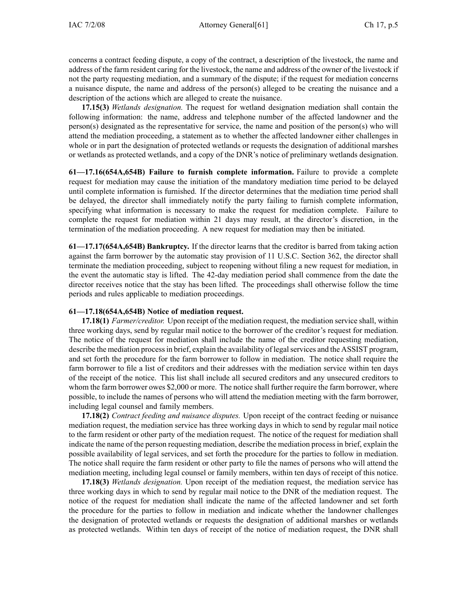concerns <sup>a</sup> contract feeding dispute, <sup>a</sup> copy of the contract, <sup>a</sup> description of the livestock, the name and address of the farm resident caring for the livestock, the name and address of the owner of the livestock if not the party requesting mediation, and <sup>a</sup> summary of the dispute; if the reques<sup>t</sup> for mediation concerns <sup>a</sup> nuisance dispute, the name and address of the person(s) alleged to be creating the nuisance and <sup>a</sup> description of the actions which are alleged to create the nuisance.

**17.15(3)** *Wetlands designation.* The reques<sup>t</sup> for wetland designation mediation shall contain the following information: the name, address and telephone number of the affected landowner and the person(s) designated as the representative for service, the name and position of the person(s) who will attend the mediation proceeding, <sup>a</sup> statement as to whether the affected landowner either challenges in whole or in par<sup>t</sup> the designation of protected wetlands or requests the designation of additional marshes or wetlands as protected wetlands, and <sup>a</sup> copy of the DNR's notice of preliminary wetlands designation.

**61—17.16(654A,654B) Failure to furnish complete information.** Failure to provide <sup>a</sup> complete reques<sup>t</sup> for mediation may cause the initiation of the mandatory mediation time period to be delayed until complete information is furnished. If the director determines that the mediation time period shall be delayed, the director shall immediately notify the party failing to furnish complete information, specifying what information is necessary to make the reques<sup>t</sup> for mediation complete. Failure to complete the reques<sup>t</sup> for mediation within 21 days may result, at the director's discretion, in the termination of the mediation proceeding. A new reques<sup>t</sup> for mediation may then be initiated.

**61—17.17(654A,654B) Bankruptcy.** If the director learns that the creditor is barred from taking action against the farm borrower by the automatic stay provision of 11 U.S.C. Section 362, the director shall terminate the mediation proceeding, subject to reopening without filing <sup>a</sup> new reques<sup>t</sup> for mediation, in the event the automatic stay is lifted. The 42-day mediation period shall commence from the date the director receives notice that the stay has been lifted. The proceedings shall otherwise follow the time periods and rules applicable to mediation proceedings.

## **61—17.18(654A,654B) Notice of mediation request.**

**17.18(1)** *Farmer/creditor.* Upon receipt of the mediation request, the mediation service shall, within three working days, send by regular mail notice to the borrower of the creditor's reques<sup>t</sup> for mediation. The notice of the reques<sup>t</sup> for mediation shall include the name of the creditor requesting mediation, describe the mediation process in brief, explain the availability of legal services and the ASSIST program, and set forth the procedure for the farm borrower to follow in mediation. The notice shall require the farm borrower to file <sup>a</sup> list of creditors and their addresses with the mediation service within ten days of the receipt of the notice. This list shall include all secured creditors and any unsecured creditors to whom the farm borrower owes \$2,000 or more. The notice shall further require the farm borrower, where possible, to include the names of persons who will attend the mediation meeting with the farm borrower, including legal counsel and family members.

**17.18(2)** *Contract feeding and nuisance disputes.* Upon receipt of the contract feeding or nuisance mediation request, the mediation service has three working days in which to send by regular mail notice to the farm resident or other party of the mediation request. The notice of the reques<sup>t</sup> for mediation shall indicate the name of the person requesting mediation, describe the mediation process in brief, explain the possible availability of legal services, and set forth the procedure for the parties to follow in mediation. The notice shall require the farm resident or other party to file the names of persons who will attend the mediation meeting, including legal counsel or family members, within ten days of receipt of this notice.

**17.18(3)** *Wetlands designation.* Upon receipt of the mediation request, the mediation service has three working days in which to send by regular mail notice to the DNR of the mediation request. The notice of the reques<sup>t</sup> for mediation shall indicate the name of the affected landowner and set forth the procedure for the parties to follow in mediation and indicate whether the landowner challenges the designation of protected wetlands or requests the designation of additional marshes or wetlands as protected wetlands. Within ten days of receipt of the notice of mediation request, the DNR shall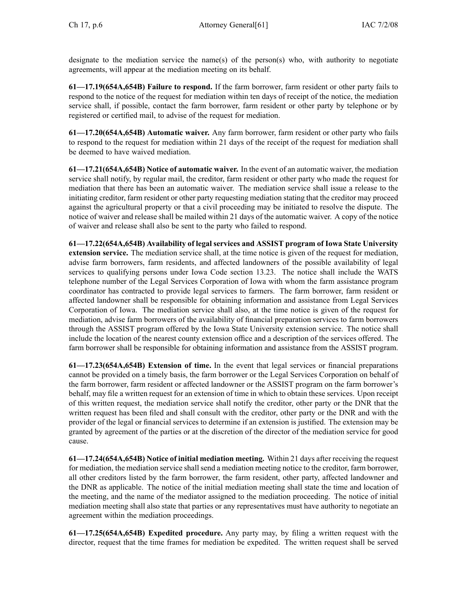designate to the mediation service the name(s) of the person(s) who, with authority to negotiate agreements, will appear at the mediation meeting on its behalf.

**61—17.19(654A,654B) Failure to respond.** If the farm borrower, farm resident or other party fails to respond to the notice of the reques<sup>t</sup> for mediation within ten days of receipt of the notice, the mediation service shall, if possible, contact the farm borrower, farm resident or other party by telephone or by registered or certified mail, to advise of the reques<sup>t</sup> for mediation.

**61—17.20(654A,654B) Automatic waiver.** Any farm borrower, farm resident or other party who fails to respond to the reques<sup>t</sup> for mediation within 21 days of the receipt of the reques<sup>t</sup> for mediation shall be deemed to have waived mediation.

**61—17.21(654A,654B) Notice of automatic waiver.** In the event of an automatic waiver, the mediation service shall notify, by regular mail, the creditor, farm resident or other party who made the reques<sup>t</sup> for mediation that there has been an automatic waiver. The mediation service shall issue <sup>a</sup> release to the initiating creditor, farm resident or other party requesting mediation stating that the creditor may proceed against the agricultural property or that <sup>a</sup> civil proceeding may be initiated to resolve the dispute. The notice of waiver and release shall be mailed within 21 days of the automatic waiver. A copy of the notice of waiver and release shall also be sent to the party who failed to respond.

**61—17.22(654A,654B) Availability of legal services and ASSIST program of Iowa State University extension service.** The mediation service shall, at the time notice is given of the reques<sup>t</sup> for mediation, advise farm borrowers, farm residents, and affected landowners of the possible availability of legal services to qualifying persons under Iowa Code section 13.23. The notice shall include the WATS telephone number of the Legal Services Corporation of Iowa with whom the farm assistance program coordinator has contracted to provide legal services to farmers. The farm borrower, farm resident or affected landowner shall be responsible for obtaining information and assistance from Legal Services Corporation of Iowa. The mediation service shall also, at the time notice is given of the reques<sup>t</sup> for mediation, advise farm borrowers of the availability of financial preparation services to farm borrowers through the ASSIST program offered by the Iowa State University extension service. The notice shall include the location of the nearest county extension office and <sup>a</sup> description of the services offered. The farm borrower shall be responsible for obtaining information and assistance from the ASSIST program.

**61—17.23(654A,654B) Extension of time.** In the event that legal services or financial preparations cannot be provided on <sup>a</sup> timely basis, the farm borrower or the Legal Services Corporation on behalf of the farm borrower, farm resident or affected landowner or the ASSIST program on the farm borrower's behalf, may file <sup>a</sup> written reques<sup>t</sup> for an extension of time in which to obtain these services. Upon receipt of this written request, the mediation service shall notify the creditor, other party or the DNR that the written reques<sup>t</sup> has been filed and shall consult with the creditor, other party or the DNR and with the provider of the legal or financial services to determine if an extension is justified. The extension may be granted by agreemen<sup>t</sup> of the parties or at the discretion of the director of the mediation service for good cause.

**61—17.24(654A,654B) Notice of initial mediation meeting.** Within 21 days after receiving the reques<sup>t</sup> for mediation, the mediation service shall send a mediation meeting notice to the creditor, farm borrower, all other creditors listed by the farm borrower, the farm resident, other party, affected landowner and the DNR as applicable. The notice of the initial mediation meeting shall state the time and location of the meeting, and the name of the mediator assigned to the mediation proceeding. The notice of initial mediation meeting shall also state that parties or any representatives must have authority to negotiate an agreemen<sup>t</sup> within the mediation proceedings.

**61—17.25(654A,654B) Expedited procedure.** Any party may, by filing <sup>a</sup> written reques<sup>t</sup> with the director, reques<sup>t</sup> that the time frames for mediation be expedited. The written reques<sup>t</sup> shall be served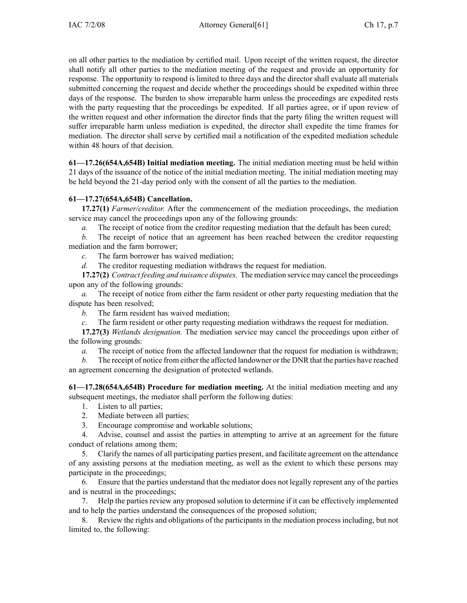on all other parties to the mediation by certified mail. Upon receipt of the written request, the director shall notify all other parties to the mediation meeting of the reques<sup>t</sup> and provide an opportunity for response. The opportunity to respond is limited to three days and the director shall evaluate all materials submitted concerning the reques<sup>t</sup> and decide whether the proceedings should be expedited within three days of the response. The burden to show irreparable harm unless the proceedings are expedited rests with the party requesting that the proceedings be expedited. If all parties agree, or if upon review of the written reques<sup>t</sup> and other information the director finds that the party filing the written reques<sup>t</sup> will suffer irreparable harm unless mediation is expedited, the director shall expedite the time frames for mediation. The director shall serve by certified mail <sup>a</sup> notification of the expedited mediation schedule within 48 hours of that decision.

**61—17.26(654A,654B) Initial mediation meeting.** The initial mediation meeting must be held within 21 days of the issuance of the notice of the initial mediation meeting. The initial mediation meeting may be held beyond the 21-day period only with the consent of all the parties to the mediation.

# **61—17.27(654A,654B) Cancellation.**

**17.27(1)** *Farmer/creditor.* After the commencement of the mediation proceedings, the mediation service may cancel the proceedings upon any of the following grounds:

*a.* The receipt of notice from the creditor requesting mediation that the default has been cured;

*b.* The receipt of notice that an agreemen<sup>t</sup> has been reached between the creditor requesting mediation and the farm borrower;

*c.* The farm borrower has waived mediation;

*d.* The creditor requesting mediation withdraws the reques<sup>t</sup> for mediation.

**17.27(2)** *Contract feeding and nuisance disputes.* The mediation service may cancel the proceedings upon any of the following grounds:

*a.* The receipt of notice from either the farm resident or other party requesting mediation that the dispute has been resolved;

*b.* The farm resident has waived mediation;

*c.* The farm resident or other party requesting mediation withdraws the reques<sup>t</sup> for mediation.

**17.27(3)** *Wetlands designation.* The mediation service may cancel the proceedings upon either of the following grounds:

*a.* The receipt of notice from the affected landowner that the reques<sup>t</sup> for mediation is withdrawn;

*b.* The receipt of notice from either the affected landowner or the DNR that the parties have reached an agreemen<sup>t</sup> concerning the designation of protected wetlands.

**61—17.28(654A,654B) Procedure for mediation meeting.** At the initial mediation meeting and any subsequent meetings, the mediator shall perform the following duties:

- 1. Listen to all parties;
- 2. Mediate between all parties;
- 3. Encourage compromise and workable solutions;

4. Advise, counsel and assist the parties in attempting to arrive at an agreemen<sup>t</sup> for the future conduct of relations among them;

5. Clarify the names of all participating parties present, and facilitate agreemen<sup>t</sup> on the attendance of any assisting persons at the mediation meeting, as well as the extent to which these persons may participate in the proceedings;

6. Ensure that the parties understand that the mediator does not legally represen<sup>t</sup> any of the parties and is neutral in the proceedings;

7. Help the parties review any proposed solution to determine if it can be effectively implemented and to help the parties understand the consequences of the proposed solution;

8. Review the rights and obligations of the participants in the mediation process including, but not limited to, the following: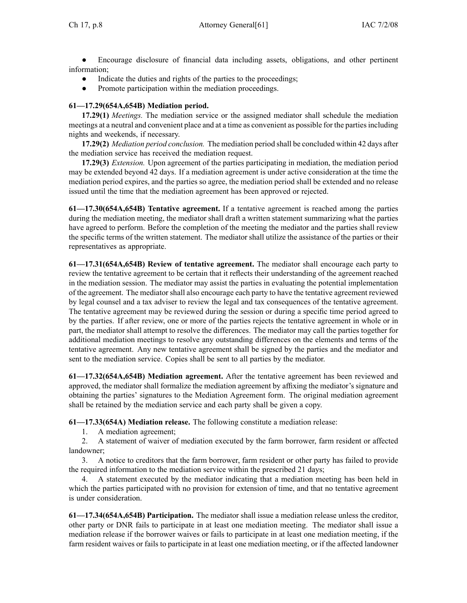$\bullet$  Encourage disclosure of financial data including assets, obligations, and other pertinent information;

- ●Indicate the duties and rights of the parties to the proceedings;
- ●Promote participation within the mediation proceedings.

# **61—17.29(654A,654B) Mediation period.**

**17.29(1)** *Meetings.* The mediation service or the assigned mediator shall schedule the mediation meetings at <sup>a</sup> neutral and convenient place and at <sup>a</sup> time as convenient as possible for the partiesincluding nights and weekends, if necessary.

**17.29(2)** *Mediation period conclusion.* The mediation period shall be concluded within 42 days after the mediation service has received the mediation request.

**17.29(3)** *Extension.* Upon agreemen<sup>t</sup> of the parties participating in mediation, the mediation period may be extended beyond 42 days. If <sup>a</sup> mediation agreemen<sup>t</sup> is under active consideration at the time the mediation period expires, and the parties so agree, the mediation period shall be extended and no release issued until the time that the mediation agreemen<sup>t</sup> has been approved or rejected.

**61—17.30(654A,654B) Tentative agreement.** If <sup>a</sup> tentative agreemen<sup>t</sup> is reached among the parties during the mediation meeting, the mediator shall draft <sup>a</sup> written statement summarizing what the parties have agreed to perform. Before the completion of the meeting the mediator and the parties shall review the specific terms of the written statement. The mediator shall utilize the assistance of the parties or their representatives as appropriate.

**61—17.31(654A,654B) Review of tentative agreement.** The mediator shall encourage each party to review the tentative agreemen<sup>t</sup> to be certain that it reflects their understanding of the agreemen<sup>t</sup> reached in the mediation session. The mediator may assist the parties in evaluating the potential implementation of the agreement. The mediator shall also encourage each party to have the tentative agreemen<sup>t</sup> reviewed by legal counsel and <sup>a</sup> tax adviser to review the legal and tax consequences of the tentative agreement. The tentative agreemen<sup>t</sup> may be reviewed during the session or during <sup>a</sup> specific time period agreed to by the parties. If after review, one or more of the parties rejects the tentative agreemen<sup>t</sup> in whole or in part, the mediator shall attempt to resolve the differences. The mediator may call the parties together for additional mediation meetings to resolve any outstanding differences on the elements and terms of the tentative agreement. Any new tentative agreemen<sup>t</sup> shall be signed by the parties and the mediator and sent to the mediation service. Copies shall be sent to all parties by the mediator.

**61—17.32(654A,654B) Mediation agreement.** After the tentative agreemen<sup>t</sup> has been reviewed and approved, the mediator shall formalize the mediation agreemen<sup>t</sup> by affixing the mediator's signature and obtaining the parties' signatures to the Mediation Agreement form. The original mediation agreemen<sup>t</sup> shall be retained by the mediation service and each party shall be given <sup>a</sup> copy.

**61—17.33(654A) Mediation release.** The following constitute <sup>a</sup> mediation release:

1. A mediation agreement;

2. A statement of waiver of mediation executed by the farm borrower, farm resident or affected landowner;

3. A notice to creditors that the farm borrower, farm resident or other party has failed to provide the required information to the mediation service within the prescribed 21 days;

4. A statement executed by the mediator indicating that <sup>a</sup> mediation meeting has been held in which the parties participated with no provision for extension of time, and that no tentative agreemen<sup>t</sup> is under consideration.

**61—17.34(654A,654B) Participation.** The mediator shall issue <sup>a</sup> mediation release unless the creditor, other party or DNR fails to participate in at least one mediation meeting. The mediator shall issue <sup>a</sup> mediation release if the borrower waives or fails to participate in at least one mediation meeting, if the farm resident waives or fails to participate in at least one mediation meeting, or if the affected landowner